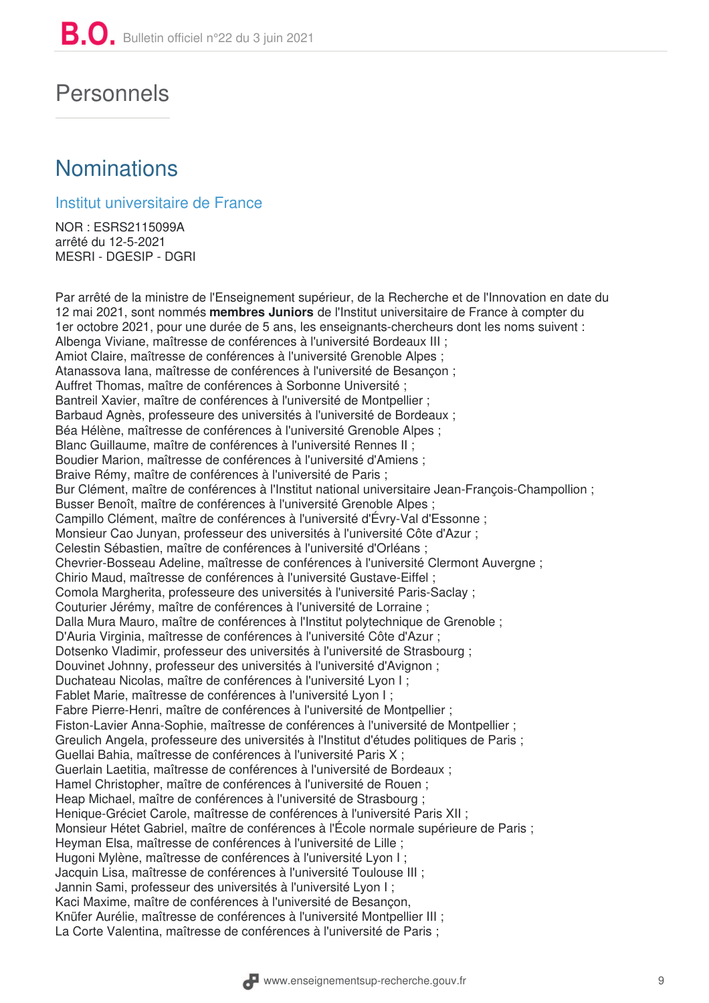## Personnels

## **Nominations**

## Institut universitaire de France

NOR: ESRS2115099A arrêté du 12-5-2021 **MESRI - DGESIP - DGRI** 

Par arrêté de la ministre de l'Enseignement supérieur, de la Recherche et de l'Innovation en date du 12 mai 2021, sont nommés membres Juniors de l'Institut universitaire de France à compter du 1er octobre 2021, pour une durée de 5 ans, les enseignants-chercheurs dont les noms suivent : Albenga Viviane, maîtresse de conférences à l'université Bordeaux III ; Amiot Claire, maîtresse de conférences à l'université Grenoble Alpes ; Atanassova Iana, maîtresse de conférences à l'université de Besançon ; Auffret Thomas, maître de conférences à Sorbonne Université ; Bantreil Xavier, maître de conférences à l'université de Montpellier : Barbaud Agnès, professeure des universités à l'université de Bordeaux ; Béa Hélène, maîtresse de conférences à l'université Grenoble Alpes ; Blanc Guillaume, maître de conférences à l'université Rennes II ; Boudier Marion, maîtresse de conférences à l'université d'Amiens ; Braive Rémy, maître de conférences à l'université de Paris ; Bur Clément, maître de conférences à l'Institut national universitaire Jean-François-Champollion; Busser Benoît, maître de conférences à l'université Grenoble Alpes ; Campillo Clément, maître de conférences à l'université d'Évry-Val d'Essonne ; Monsieur Cao Junyan, professeur des universités à l'université Côte d'Azur; Celestin Sébastien, maître de conférences à l'université d'Orléans : Chevrier-Bosseau Adeline, maîtresse de conférences à l'université Clermont Auvergne ; Chirio Maud, maîtresse de conférences à l'université Gustave-Eiffel; Comola Margherita, professeure des universités à l'université Paris-Saclay; Couturier Jérémy, maître de conférences à l'université de Lorraine ; Dalla Mura Mauro, maître de conférences à l'Institut polytechnique de Grenoble : D'Auria Virginia, maîtresse de conférences à l'université Côte d'Azur ; Dotsenko Vladimir, professeur des universités à l'université de Strasbourg : Douvinet Johnny, professeur des universités à l'université d'Avignon ; Duchateau Nicolas, maître de conférences à l'université Lyon I; Fablet Marie, maîtresse de conférences à l'université Lyon I ; Fabre Pierre-Henri, maître de conférences à l'université de Montpellier ; Fiston-Lavier Anna-Sophie, maîtresse de conférences à l'université de Montpellier : Greulich Angela, professeure des universités à l'Institut d'études politiques de Paris ; Guellai Bahia, maîtresse de conférences à l'université Paris X ; Guerlain Laetitia, maîtresse de conférences à l'université de Bordeaux : Hamel Christopher, maître de conférences à l'université de Rouen; Heap Michael, maître de conférences à l'université de Strasbourg : Henique-Gréciet Carole, maîtresse de conférences à l'université Paris XII ; Monsieur Hétet Gabriel, maître de conférences à l'École normale supérieure de Paris : Hevman Elsa, maîtresse de conférences à l'université de Lille : Hugoni Mylène, maîtresse de conférences à l'université Lyon I : Jacquin Lisa, maîtresse de conférences à l'université Toulouse III ; Jannin Sami, professeur des universités à l'université Lyon I; Kaci Maxime, maître de conférences à l'université de Besancon, Knüfer Aurélie, maîtresse de conférences à l'université Montpellier III ; La Corte Valentina, maîtresse de conférences à l'université de Paris ;

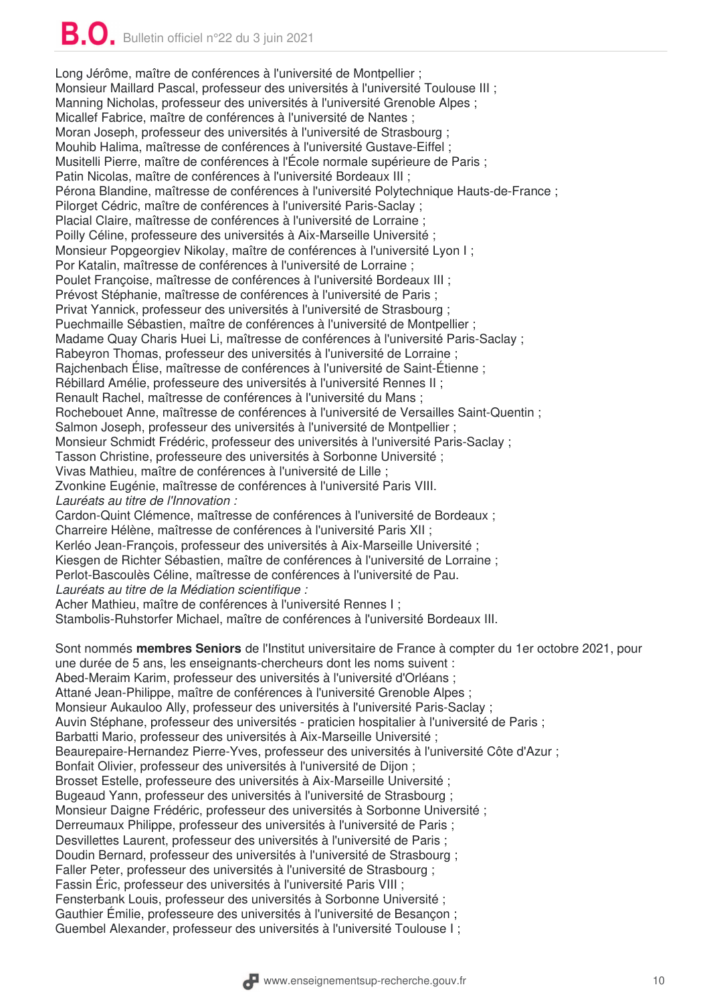Long Jérôme, maître de conférences à l'université de Montpellier : Monsieur Maillard Pascal, professeur des universités à l'université Toulouse III ; Manning Nicholas, professeur des universités à l'université Grenoble Alpes : Micallef Fabrice, maître de conférences à l'université de Nantes; Moran Joseph, professeur des universités à l'université de Strasbourg ; Mouhib Halima, maîtresse de conférences à l'université Gustave-Eiffel; Musitelli Pierre, maître de conférences à l'École normale supérieure de Paris; Patin Nicolas, maître de conférences à l'université Bordeaux III ; Pérona Blandine, maîtresse de conférences à l'université Polytechnique Hauts-de-France ; Pilorget Cédric, maître de conférences à l'université Paris-Saclay; Placial Claire, maîtresse de conférences à l'université de Lorraine ; Poilly Céline, professeure des universités à Aix-Marseille Université ; Monsieur Popgeorgiev Nikolay, maître de conférences à l'université Lyon I ; Por Katalin, maîtresse de conférences à l'université de Lorraine ; Poulet Françoise, maîtresse de conférences à l'université Bordeaux III ; Prévost Stéphanie, maîtresse de conférences à l'université de Paris : Privat Yannick, professeur des universités à l'université de Strasbourg : Puechmaille Sébastien, maître de conférences à l'université de Montpellier : Madame Quay Charis Huei Li, maîtresse de conférences à l'université Paris-Saclay; Rabeyron Thomas, professeur des universités à l'université de Lorraine ; Raichenbach Élise, maîtresse de conférences à l'université de Saint-Étienne : Rébillard Amélie, professeure des universités à l'université Rennes II ; Renault Rachel, maîtresse de conférences à l'université du Mans : Rochebouet Anne, maîtresse de conférences à l'université de Versailles Saint-Quentin ; Salmon Joseph, professeur des universités à l'université de Montpellier : Monsieur Schmidt Frédéric, professeur des universités à l'université Paris-Saclay : Tasson Christine, professeure des universités à Sorbonne Université : Vivas Mathieu, maître de conférences à l'université de Lille ; Zvonkine Eugénie, maîtresse de conférences à l'université Paris VIII. Lauréats au titre de l'Innovation : Cardon-Quint Clémence. maîtresse de conférences à l'université de Bordeaux ; Charreire Hélène, maîtresse de conférences à l'université Paris XII : Kerléo Jean-Francois, professeur des universités à Aix-Marseille Université : Kiesgen de Richter Sébastien, maître de conférences à l'université de Lorraine ; Perlot-Bascoulès Céline, maîtresse de conférences à l'université de Pau. Lauréats au titre de la Médiation scientifique : Acher Mathieu, maître de conférences à l'université Rennes I : Stambolis-Ruhstorfer Michael, maître de conférences à l'université Bordeaux III. Sont nommés membres Seniors de l'Institut universitaire de France à compter du 1er octobre 2021, pour une durée de 5 ans, les enseignants-chercheurs dont les noms suivent : Abed-Meraim Karim, professeur des universités à l'université d'Orléans ; Attané Jean-Philippe, maître de conférences à l'université Grenoble Alpes ; Monsieur Aukauloo Ally, professeur des universités à l'université Paris-Saclay ; Auvin Stéphane, professeur des universités - praticien hospitalier à l'université de Paris; Barbatti Mario, professeur des universités à Aix-Marseille Université ; Beaurepaire-Hernandez Pierre-Yves, professeur des universités à l'université Côte d'Azur; Bonfait Olivier, professeur des universités à l'université de Dijon; Brosset Estelle, professeure des universités à Aix-Marseille Université ; Bugeaud Yann, professeur des universités à l'université de Strasbourg ; Monsieur Daigne Frédéric, professeur des universités à Sorbonne Université ; Derreumaux Philippe, professeur des universités à l'université de Paris; Desvillettes Laurent, professeur des universités à l'université de Paris ; Doudin Bernard, professeur des universités à l'université de Strasbourg ; Faller Peter, professeur des universités à l'université de Strasbourg ; Fassin Éric, professeur des universités à l'université Paris VIII ; Fensterbank Louis, professeur des universités à Sorbonne Université ;

Gauthier Émilie, professeure des universités à l'université de Besançon;

Guembel Alexander, professeur des universités à l'université Toulouse I;